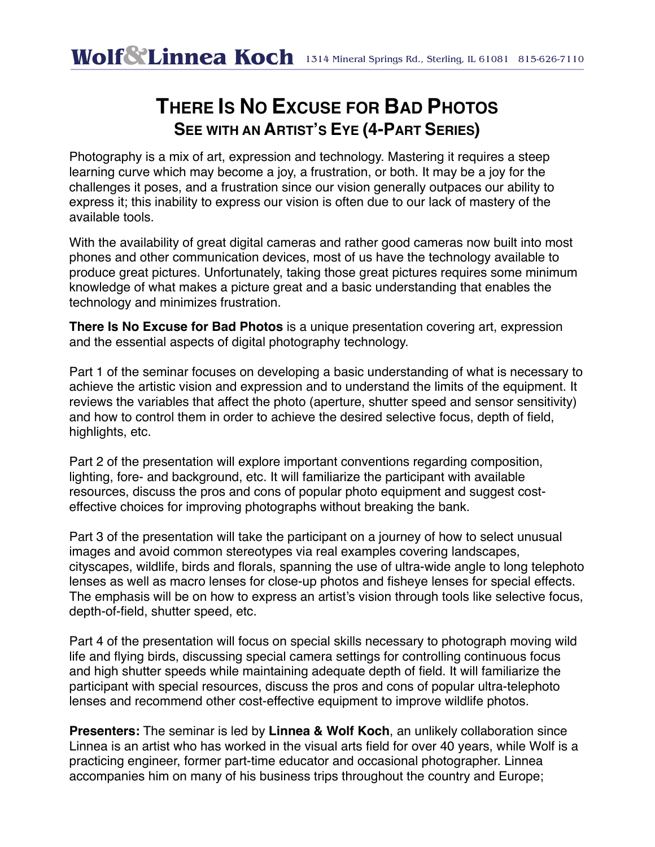## **THERE IS NO EXCUSE FOR BAD PHOTOS SEE WITH AN ARTIST'S EYE (4-PART SERIES)**

Photography is a mix of art, expression and technology. Mastering it requires a steep learning curve which may become a joy, a frustration, or both. It may be a joy for the challenges it poses, and a frustration since our vision generally outpaces our ability to express it; this inability to express our vision is often due to our lack of mastery of the available tools.

With the availability of great digital cameras and rather good cameras now built into most phones and other communication devices, most of us have the technology available to produce great pictures. Unfortunately, taking those great pictures requires some minimum knowledge of what makes a picture great and a basic understanding that enables the technology and minimizes frustration.

**There Is No Excuse for Bad Photos** is a unique presentation covering art, expression and the essential aspects of digital photography technology.

Part 1 of the seminar focuses on developing a basic understanding of what is necessary to achieve the artistic vision and expression and to understand the limits of the equipment. It reviews the variables that affect the photo (aperture, shutter speed and sensor sensitivity) and how to control them in order to achieve the desired selective focus, depth of field, highlights, etc.

Part 2 of the presentation will explore important conventions regarding composition, lighting, fore- and background, etc. It will familiarize the participant with available resources, discuss the pros and cons of popular photo equipment and suggest costeffective choices for improving photographs without breaking the bank.

Part 3 of the presentation will take the participant on a journey of how to select unusual images and avoid common stereotypes via real examples covering landscapes, cityscapes, wildlife, birds and florals, spanning the use of ultra-wide angle to long telephoto lenses as well as macro lenses for close-up photos and fisheye lenses for special effects. The emphasis will be on how to express an artist's vision through tools like selective focus, depth-of-field, shutter speed, etc.

Part 4 of the presentation will focus on special skills necessary to photograph moving wild life and flying birds, discussing special camera settings for controlling continuous focus and high shutter speeds while maintaining adequate depth of field. It will familiarize the participant with special resources, discuss the pros and cons of popular ultra-telephoto lenses and recommend other cost-effective equipment to improve wildlife photos.

**Presenters:** The seminar is led by **Linnea & Wolf Koch**, an unlikely collaboration since Linnea is an artist who has worked in the visual arts field for over 40 years, while Wolf is a practicing engineer, former part-time educator and occasional photographer. Linnea accompanies him on many of his business trips throughout the country and Europe;